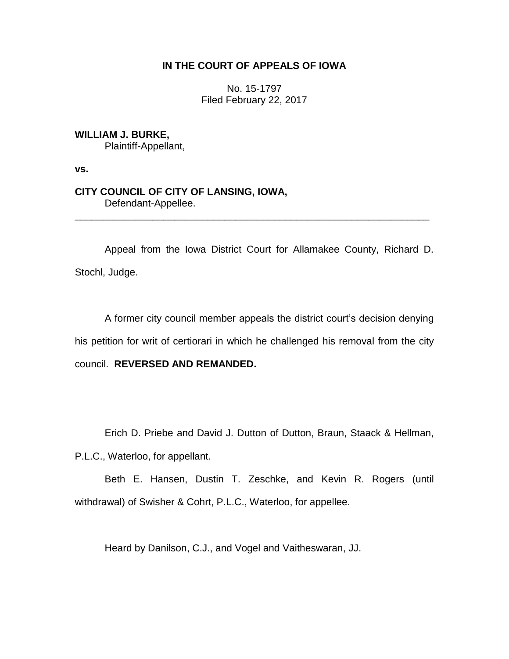# **IN THE COURT OF APPEALS OF IOWA**

No. 15-1797 Filed February 22, 2017

**WILLIAM J. BURKE,** Plaintiff-Appellant,

**vs.**

## **CITY COUNCIL OF CITY OF LANSING, IOWA,** Defendant-Appellee.

Appeal from the Iowa District Court for Allamakee County, Richard D. Stochl, Judge.

\_\_\_\_\_\_\_\_\_\_\_\_\_\_\_\_\_\_\_\_\_\_\_\_\_\_\_\_\_\_\_\_\_\_\_\_\_\_\_\_\_\_\_\_\_\_\_\_\_\_\_\_\_\_\_\_\_\_\_\_\_\_\_\_

A former city council member appeals the district court's decision denying his petition for writ of certiorari in which he challenged his removal from the city council. **REVERSED AND REMANDED.**

Erich D. Priebe and David J. Dutton of Dutton, Braun, Staack & Hellman,

P.L.C., Waterloo, for appellant.

Beth E. Hansen, Dustin T. Zeschke, and Kevin R. Rogers (until withdrawal) of Swisher & Cohrt, P.L.C., Waterloo, for appellee.

Heard by Danilson, C.J., and Vogel and Vaitheswaran, JJ.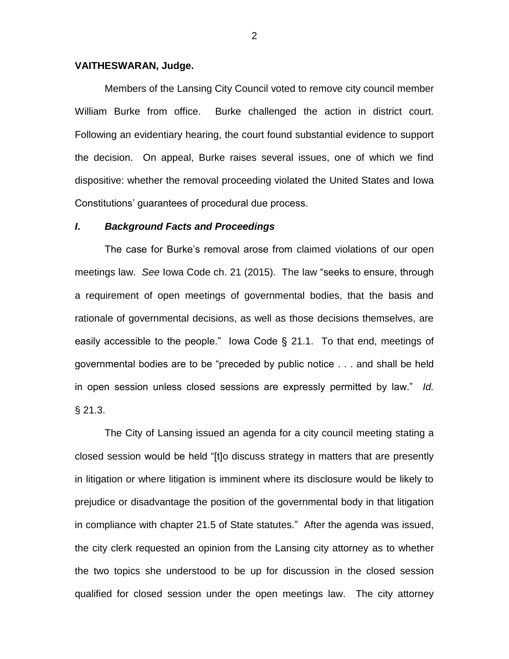#### **VAITHESWARAN, Judge.**

Members of the Lansing City Council voted to remove city council member William Burke from office. Burke challenged the action in district court. Following an evidentiary hearing, the court found substantial evidence to support the decision. On appeal, Burke raises several issues, one of which we find dispositive: whether the removal proceeding violated the United States and Iowa Constitutions' guarantees of procedural due process.

### *I***.** *Background Facts and Proceedings*

The case for Burke's removal arose from claimed violations of our open meetings law. *See* Iowa Code ch. 21 (2015). The law "seeks to ensure, through a requirement of open meetings of governmental bodies, that the basis and rationale of governmental decisions, as well as those decisions themselves, are easily accessible to the people." Iowa Code § 21.1. To that end, meetings of governmental bodies are to be "preceded by public notice . . . and shall be held in open session unless closed sessions are expressly permitted by law." *Id.* § 21.3.

The City of Lansing issued an agenda for a city council meeting stating a closed session would be held "[t]o discuss strategy in matters that are presently in litigation or where litigation is imminent where its disclosure would be likely to prejudice or disadvantage the position of the governmental body in that litigation in compliance with chapter 21.5 of State statutes." After the agenda was issued, the city clerk requested an opinion from the Lansing city attorney as to whether the two topics she understood to be up for discussion in the closed session qualified for closed session under the open meetings law. The city attorney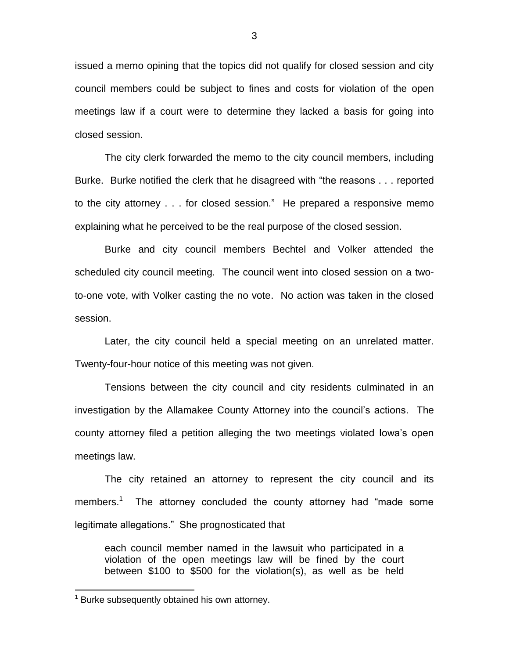issued a memo opining that the topics did not qualify for closed session and city council members could be subject to fines and costs for violation of the open meetings law if a court were to determine they lacked a basis for going into closed session.

The city clerk forwarded the memo to the city council members, including Burke. Burke notified the clerk that he disagreed with "the reasons . . . reported to the city attorney . . . for closed session." He prepared a responsive memo explaining what he perceived to be the real purpose of the closed session.

Burke and city council members Bechtel and Volker attended the scheduled city council meeting. The council went into closed session on a twoto-one vote, with Volker casting the no vote. No action was taken in the closed session.

Later, the city council held a special meeting on an unrelated matter. Twenty-four-hour notice of this meeting was not given.

Tensions between the city council and city residents culminated in an investigation by the Allamakee County Attorney into the council's actions. The county attorney filed a petition alleging the two meetings violated Iowa's open meetings law.

The city retained an attorney to represent the city council and its members.<sup>1</sup> The attorney concluded the county attorney had "made some legitimate allegations." She prognosticated that

each council member named in the lawsuit who participated in a violation of the open meetings law will be fined by the court between \$100 to \$500 for the violation(s), as well as be held

 $\overline{a}$ 

 $1$  Burke subsequently obtained his own attorney.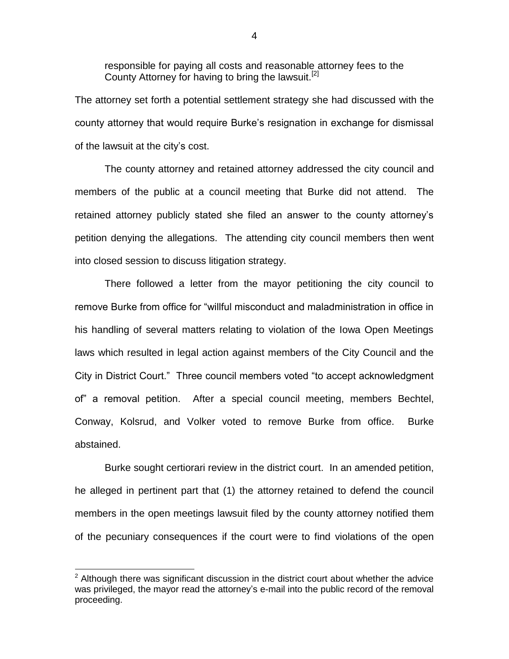responsible for paying all costs and reasonable attorney fees to the County Attorney for having to bring the lawsuit.<sup>[2]</sup>

The attorney set forth a potential settlement strategy she had discussed with the county attorney that would require Burke's resignation in exchange for dismissal of the lawsuit at the city's cost.

The county attorney and retained attorney addressed the city council and members of the public at a council meeting that Burke did not attend. The retained attorney publicly stated she filed an answer to the county attorney's petition denying the allegations. The attending city council members then went into closed session to discuss litigation strategy.

There followed a letter from the mayor petitioning the city council to remove Burke from office for "willful misconduct and maladministration in office in his handling of several matters relating to violation of the Iowa Open Meetings laws which resulted in legal action against members of the City Council and the City in District Court." Three council members voted "to accept acknowledgment of" a removal petition. After a special council meeting, members Bechtel, Conway, Kolsrud, and Volker voted to remove Burke from office. Burke abstained.

Burke sought certiorari review in the district court. In an amended petition, he alleged in pertinent part that (1) the attorney retained to defend the council members in the open meetings lawsuit filed by the county attorney notified them of the pecuniary consequences if the court were to find violations of the open

 $\overline{a}$ 

 $2$  Although there was significant discussion in the district court about whether the advice was privileged, the mayor read the attorney's e-mail into the public record of the removal proceeding.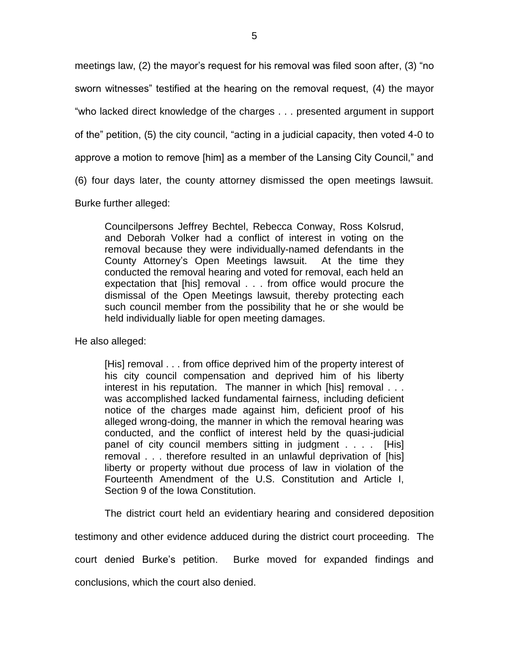meetings law, (2) the mayor's request for his removal was filed soon after, (3) "no sworn witnesses" testified at the hearing on the removal request, (4) the mayor "who lacked direct knowledge of the charges . . . presented argument in support of the" petition, (5) the city council, "acting in a judicial capacity, then voted 4-0 to

approve a motion to remove [him] as a member of the Lansing City Council," and

(6) four days later, the county attorney dismissed the open meetings lawsuit.

Burke further alleged:

Councilpersons Jeffrey Bechtel, Rebecca Conway, Ross Kolsrud, and Deborah Volker had a conflict of interest in voting on the removal because they were individually-named defendants in the County Attorney's Open Meetings lawsuit. At the time they conducted the removal hearing and voted for removal, each held an expectation that [his] removal . . . from office would procure the dismissal of the Open Meetings lawsuit, thereby protecting each such council member from the possibility that he or she would be held individually liable for open meeting damages.

He also alleged:

[His] removal . . . from office deprived him of the property interest of his city council compensation and deprived him of his liberty interest in his reputation. The manner in which [his] removal . . . was accomplished lacked fundamental fairness, including deficient notice of the charges made against him, deficient proof of his alleged wrong-doing, the manner in which the removal hearing was conducted, and the conflict of interest held by the quasi-judicial panel of city council members sitting in judgment . . . . [His] removal . . . therefore resulted in an unlawful deprivation of [his] liberty or property without due process of law in violation of the Fourteenth Amendment of the U.S. Constitution and Article I, Section 9 of the Iowa Constitution.

The district court held an evidentiary hearing and considered deposition

testimony and other evidence adduced during the district court proceeding. The

court denied Burke's petition. Burke moved for expanded findings and

conclusions, which the court also denied.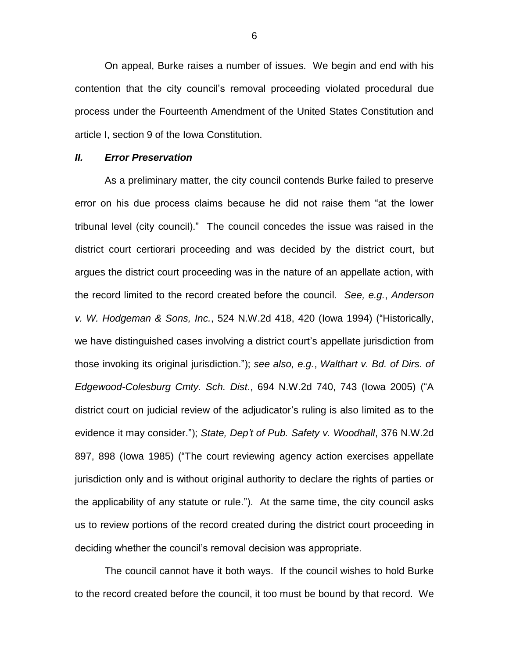On appeal, Burke raises a number of issues. We begin and end with his contention that the city council's removal proceeding violated procedural due process under the Fourteenth Amendment of the United States Constitution and article I, section 9 of the Iowa Constitution.

#### *II. Error Preservation*

As a preliminary matter, the city council contends Burke failed to preserve error on his due process claims because he did not raise them "at the lower tribunal level (city council)." The council concedes the issue was raised in the district court certiorari proceeding and was decided by the district court, but argues the district court proceeding was in the nature of an appellate action, with the record limited to the record created before the council. *See, e.g.*, *Anderson v. W. Hodgeman & Sons, Inc.*, 524 N.W.2d 418, 420 (Iowa 1994) ("Historically, we have distinguished cases involving a district court's appellate jurisdiction from those invoking its original jurisdiction."); *see also, e.g.*, *Walthart v. Bd. of Dirs. of Edgewood-Colesburg Cmty. Sch. Dist*., 694 N.W.2d 740, 743 (Iowa 2005) ("A district court on judicial review of the adjudicator's ruling is also limited as to the evidence it may consider."); *State, Dep't of Pub. Safety v. Woodhall*, 376 N.W.2d 897, 898 (Iowa 1985) ("The court reviewing agency action exercises appellate jurisdiction only and is without original authority to declare the rights of parties or the applicability of any statute or rule."). At the same time, the city council asks us to review portions of the record created during the district court proceeding in deciding whether the council's removal decision was appropriate.

The council cannot have it both ways. If the council wishes to hold Burke to the record created before the council, it too must be bound by that record. We

6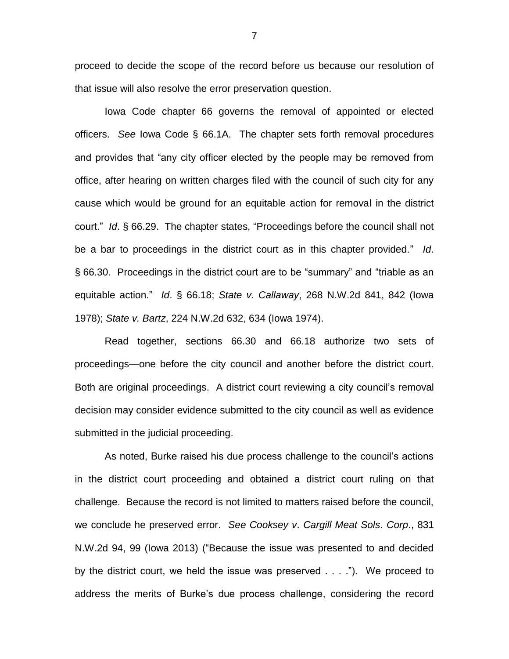proceed to decide the scope of the record before us because our resolution of that issue will also resolve the error preservation question.

Iowa Code chapter 66 governs the removal of appointed or elected officers. *See* Iowa Code § 66.1A. The chapter sets forth removal procedures and provides that "any city officer elected by the people may be removed from office, after hearing on written charges filed with the council of such city for any cause which would be ground for an equitable action for removal in the district court." *Id*. § 66.29. The chapter states, "Proceedings before the council shall not be a bar to proceedings in the district court as in this chapter provided." *Id*. § 66.30.Proceedings in the district court are to be "summary" and "triable as an equitable action." *Id*. § 66.18; *State v. Callaway*, 268 N.W.2d 841, 842 (Iowa 1978); *State v. Bartz*, 224 N.W.2d 632, 634 (Iowa 1974).

Read together, sections 66.30 and 66.18 authorize two sets of proceedings—one before the city council and another before the district court. Both are original proceedings. A district court reviewing a city council's removal decision may consider evidence submitted to the city council as well as evidence submitted in the judicial proceeding.

As noted, Burke raised his due process challenge to the council's actions in the district court proceeding and obtained a district court ruling on that challenge. Because the record is not limited to matters raised before the council, we conclude he preserved error. *See Cooksey v*. *Cargill Meat Sols*. *Corp*., 831 N.W.2d 94, 99 (Iowa 2013) ("Because the issue was presented to and decided by the district court, we held the issue was preserved . . . ."). We proceed to address the merits of Burke's due process challenge, considering the record

7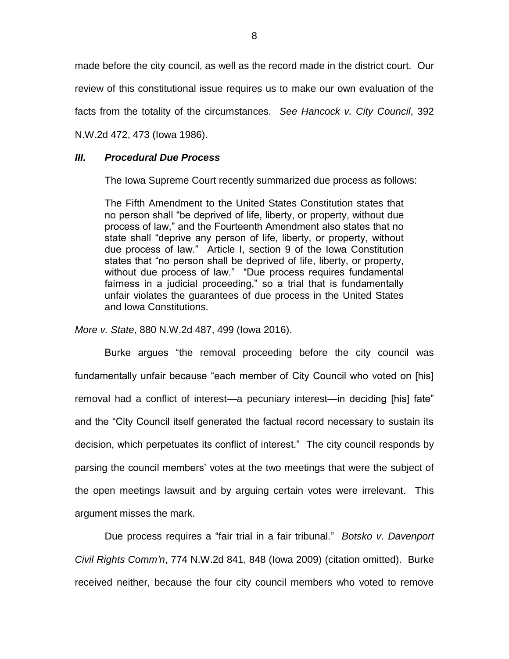made before the city council, as well as the record made in the district court. Our

review of this constitutional issue requires us to make our own evaluation of the

facts from the totality of the circumstances. *See Hancock v. City Council*, 392

N.W.2d 472, 473 (Iowa 1986).

### *III. Procedural Due Process*

The Iowa Supreme Court recently summarized due process as follows:

The Fifth Amendment to the United States Constitution states that no person shall "be deprived of life, liberty, or property, without due process of law," and the Fourteenth Amendment also states that no state shall "deprive any person of life, liberty, or property, without due process of law." Article I, section 9 of the Iowa Constitution states that "no person shall be deprived of life, liberty, or property, without due process of law." "Due process requires fundamental fairness in a judicial proceeding," so a trial that is fundamentally unfair violates the guarantees of due process in the United States and Iowa Constitutions.

*More v. State*, 880 N.W.2d 487, 499 (Iowa 2016).

Burke argues "the removal proceeding before the city council was fundamentally unfair because "each member of City Council who voted on [his] removal had a conflict of interest—a pecuniary interest—in deciding [his] fate" and the "City Council itself generated the factual record necessary to sustain its decision, which perpetuates its conflict of interest." The city council responds by parsing the council members' votes at the two meetings that were the subject of the open meetings lawsuit and by arguing certain votes were irrelevant. This argument misses the mark.

Due process requires a "fair trial in a fair tribunal." *Botsko v*. *Davenport Civil Rights Comm'n*, 774 N.W.2d 841, 848 (Iowa 2009) (citation omitted). Burke received neither, because the four city council members who voted to remove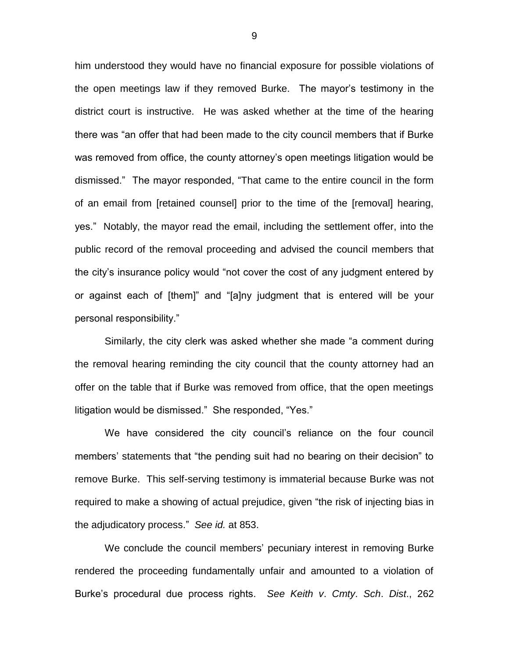him understood they would have no financial exposure for possible violations of the open meetings law if they removed Burke. The mayor's testimony in the district court is instructive. He was asked whether at the time of the hearing there was "an offer that had been made to the city council members that if Burke was removed from office, the county attorney's open meetings litigation would be dismissed." The mayor responded, "That came to the entire council in the form of an email from [retained counsel] prior to the time of the [removal] hearing, yes." Notably, the mayor read the email, including the settlement offer, into the public record of the removal proceeding and advised the council members that the city's insurance policy would "not cover the cost of any judgment entered by or against each of [them]" and "[a]ny judgment that is entered will be your personal responsibility."

Similarly, the city clerk was asked whether she made "a comment during the removal hearing reminding the city council that the county attorney had an offer on the table that if Burke was removed from office, that the open meetings litigation would be dismissed." She responded, "Yes."

We have considered the city council's reliance on the four council members' statements that "the pending suit had no bearing on their decision" to remove Burke. This self-serving testimony is immaterial because Burke was not required to make a showing of actual prejudice, given "the risk of injecting bias in the adjudicatory process." *See id.* at 853.

We conclude the council members' pecuniary interest in removing Burke rendered the proceeding fundamentally unfair and amounted to a violation of Burke's procedural due process rights. *See Keith v*. *Cmty*. *Sch*. *Dist*., 262

9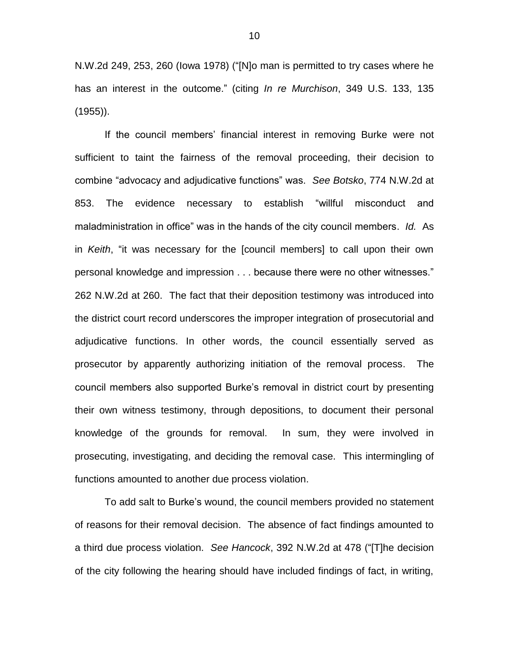N.W.2d 249, 253, 260 (Iowa 1978) ("[N]o man is permitted to try cases where he has an interest in the outcome." (citing *In re Murchison*, 349 U.S. 133, 135 (1955)).

If the council members' financial interest in removing Burke were not sufficient to taint the fairness of the removal proceeding, their decision to combine "advocacy and adjudicative functions" was. *See Botsko*, 774 N.W.2d at 853. The evidence necessary to establish "willful misconduct and maladministration in office" was in the hands of the city council members. *Id.* As in *Keith*, "it was necessary for the [council members] to call upon their own personal knowledge and impression . . . because there were no other witnesses." 262 N.W.2d at 260. The fact that their deposition testimony was introduced into the district court record underscores the improper integration of prosecutorial and adjudicative functions. In other words, the council essentially served as prosecutor by apparently authorizing initiation of the removal process. The council members also supported Burke's removal in district court by presenting their own witness testimony, through depositions, to document their personal knowledge of the grounds for removal. In sum, they were involved in prosecuting, investigating, and deciding the removal case. This intermingling of functions amounted to another due process violation.

To add salt to Burke's wound, the council members provided no statement of reasons for their removal decision. The absence of fact findings amounted to a third due process violation. *See Hancock*, 392 N.W.2d at 478 ("[T]he decision of the city following the hearing should have included findings of fact, in writing,